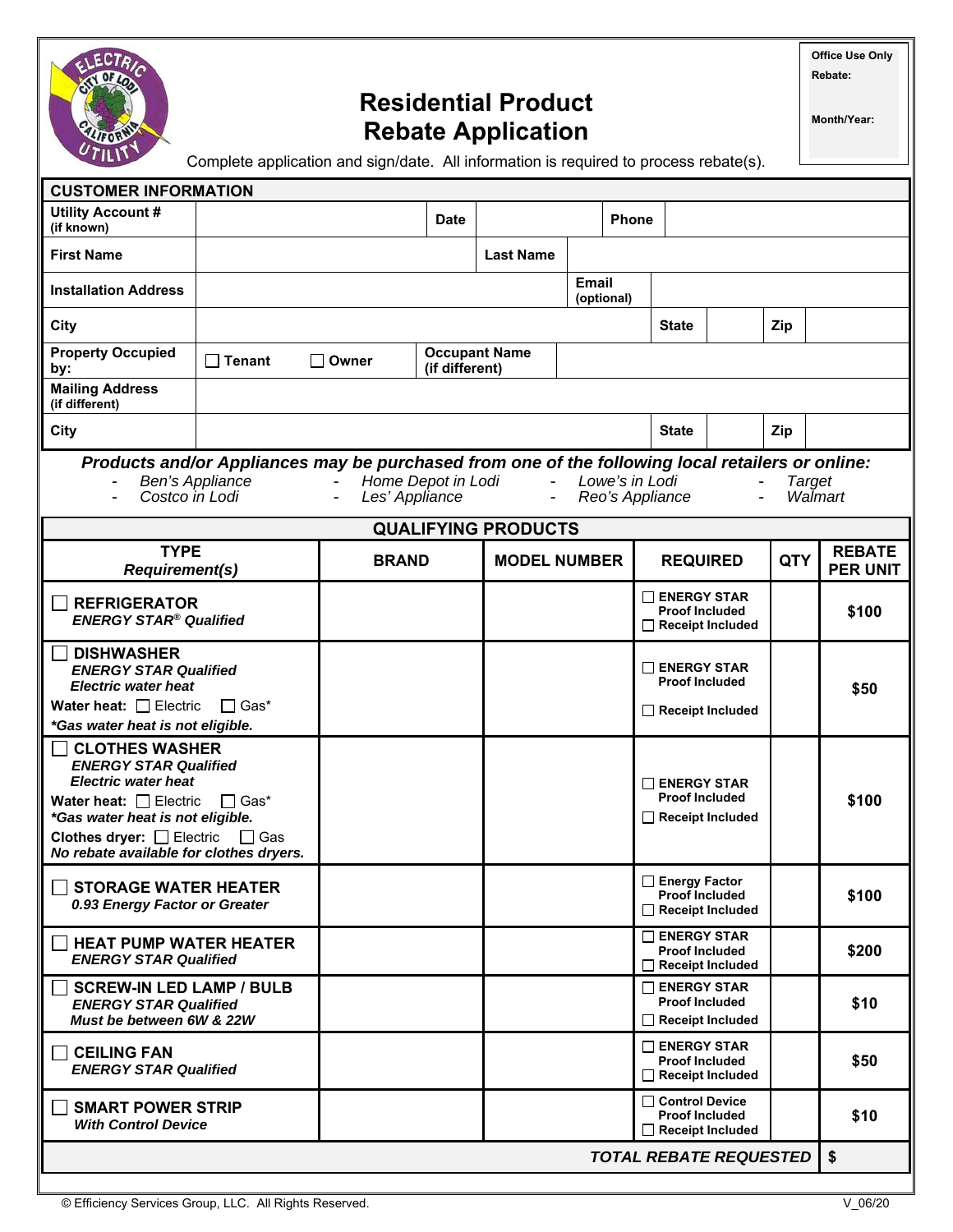

# **Residential Product Rebate Application**

**Office Use Only Rebate:** 

**Month/Year:** 

Complete application and sign/date. All information is required to process rebate(s).

| <b>CUSTOMER INFORMATION</b>                                                                                                                                                                                                                                            |                                                             |              |             |                            |  |                                                                        |                                                                        |      |            |                                  |
|------------------------------------------------------------------------------------------------------------------------------------------------------------------------------------------------------------------------------------------------------------------------|-------------------------------------------------------------|--------------|-------------|----------------------------|--|------------------------------------------------------------------------|------------------------------------------------------------------------|------|------------|----------------------------------|
| <b>Utility Account #</b><br>(if known)                                                                                                                                                                                                                                 |                                                             |              | <b>Date</b> |                            |  | Phone                                                                  |                                                                        |      |            |                                  |
| <b>First Name</b>                                                                                                                                                                                                                                                      |                                                             |              |             | <b>Last Name</b>           |  |                                                                        |                                                                        |      |            |                                  |
| <b>Installation Address</b>                                                                                                                                                                                                                                            |                                                             |              |             | <b>Email</b><br>(optional) |  |                                                                        |                                                                        |      |            |                                  |
| City                                                                                                                                                                                                                                                                   |                                                             |              |             |                            |  | <b>State</b>                                                           |                                                                        | Zip  |            |                                  |
| <b>Property Occupied</b><br>by:                                                                                                                                                                                                                                        | <b>Occupant Name</b><br>∣ Tenant<br>Owner<br>(if different) |              |             |                            |  |                                                                        |                                                                        |      |            |                                  |
| <b>Mailing Address</b><br>(if different)                                                                                                                                                                                                                               |                                                             |              |             |                            |  |                                                                        |                                                                        |      |            |                                  |
| City                                                                                                                                                                                                                                                                   |                                                             |              |             |                            |  |                                                                        | <b>State</b>                                                           |      | Zip        |                                  |
| Products and/or Appliances may be purchased from one of the following local retailers or online:<br>Home Depot in Lodi<br>Lowe's in Lodi<br>Ben's Appliance<br>$\sim 100$<br>$\sim$<br><b>Target</b><br>Costco in Lodi<br>Walmart<br>Les' Appliance<br>Reo's Appliance |                                                             |              |             |                            |  |                                                                        |                                                                        |      |            |                                  |
| <b>QUALIFYING PRODUCTS</b>                                                                                                                                                                                                                                             |                                                             |              |             |                            |  |                                                                        |                                                                        |      |            |                                  |
| <b>TYPE</b><br><b>Requirement(s)</b>                                                                                                                                                                                                                                   |                                                             | <b>BRAND</b> |             | <b>MODEL NUMBER</b>        |  |                                                                        | <b>REQUIRED</b>                                                        |      | <b>QTY</b> | <b>REBATE</b><br><b>PER UNIT</b> |
| <b>REFRIGERATOR</b><br><b>ENERGY STAR® Qualified</b>                                                                                                                                                                                                                   |                                                             |              |             |                            |  |                                                                        | $\Box$ ENERGY STAR<br><b>Proof Included</b><br>$\Box$ Receipt Included |      |            | \$100                            |
| <b>DISHWASHER</b><br><b>ENERGY STAR Qualified</b><br><b>Electric water heat</b><br><b>Water heat:</b> $\Box$ Electric<br>$\Box$ Gas*<br>*Gas water heat is not eligible.                                                                                               |                                                             |              |             |                            |  |                                                                        | $\Box$ ENERGY STAR<br><b>Proof Included</b><br>$\Box$ Receipt Included |      |            | \$50                             |
| <b>CLOTHES WASHER</b><br><b>ENERGY STAR Qualified</b><br><b>Electric water heat</b><br>Water heat: Electric<br>$\Box$ Gas*<br>*Gas water heat is not eligible.<br>Clothes dryer: [ Electric<br>$\Box$ Gas<br>No rebate available for clothes dryers.                   |                                                             |              |             |                            |  | $\Box$ ENERGY STAR<br><b>Proof Included</b><br>$\Box$ Receipt Included |                                                                        |      | \$100      |                                  |
| <b>STORAGE WATER HEATER</b><br>0.93 Energy Factor or Greater                                                                                                                                                                                                           |                                                             |              |             |                            |  |                                                                        | Energy Factor<br><b>Proof Included</b><br>$\Box$ Receipt Included      |      |            | \$100                            |
| <b>HEAT PUMP WATER HEATER</b><br><b>ENERGY STAR Qualified</b>                                                                                                                                                                                                          |                                                             |              |             |                            |  | $\Box$ ENERGY STAR<br><b>Proof Included</b><br>$\Box$ Receipt Included |                                                                        |      |            | \$200                            |
| <b>SCREW-IN LED LAMP / BULB</b><br><b>ENERGY STAR Qualified</b><br>Must be between 6W & 22W                                                                                                                                                                            |                                                             |              |             |                            |  |                                                                        | $\Box$ ENERGY STAR<br><b>Proof Included</b><br>$\Box$ Receipt Included |      |            | \$10                             |
| <b>CEILING FAN</b><br><b>ENERGY STAR Qualified</b>                                                                                                                                                                                                                     |                                                             |              |             |                            |  |                                                                        | $\Box$ ENERGY STAR<br><b>Proof Included</b><br>$\Box$ Receipt Included |      |            | \$50                             |
| <b>SMART POWER STRIP</b><br><b>With Control Device</b>                                                                                                                                                                                                                 |                                                             |              |             |                            |  | □ Control Device<br><b>Proof Included</b><br>$\Box$ Receipt Included   |                                                                        | \$10 |            |                                  |
| <b>TOTAL REBATE REQUESTED</b>                                                                                                                                                                                                                                          |                                                             |              |             |                            |  |                                                                        |                                                                        |      |            | \$                               |